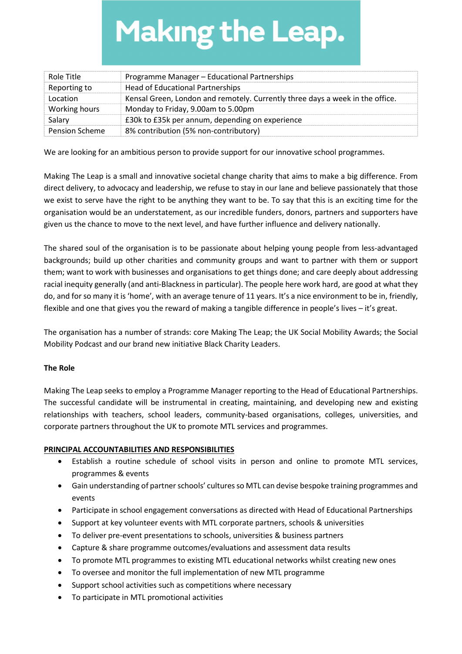# **Making the Leap.**

| Role Title            | Programme Manager - Educational Partnerships                                  |
|-----------------------|-------------------------------------------------------------------------------|
| Reporting to          | Head of Educational Partnerships                                              |
| Location              | Kensal Green, London and remotely. Currently three days a week in the office. |
| Working hours         | Monday to Friday, 9.00am to 5.00pm                                            |
| Salary                | £30k to £35k per annum, depending on experience                               |
| <b>Pension Scheme</b> | 8% contribution (5% non-contributory)                                         |

We are looking for an ambitious person to provide support for our innovative school programmes.

Making The Leap is a small and innovative societal change charity that aims to make a big difference. From direct delivery, to advocacy and leadership, we refuse to stay in our lane and believe passionately that those we exist to serve have the right to be anything they want to be. To say that this is an exciting time for the organisation would be an understatement, as our incredible funders, donors, partners and supporters have given us the chance to move to the next level, and have further influence and delivery nationally.

The shared soul of the organisation is to be passionate about helping young people from less-advantaged backgrounds; build up other charities and community groups and want to partner with them or support them; want to work with businesses and organisations to get things done; and care deeply about addressing racial inequity generally (and anti-Blackness in particular). The people here work hard, are good at what they do, and for so many it is 'home', with an average tenure of 11 years. It's a nice environment to be in, friendly, flexible and one that gives you the reward of making a tangible difference in people's lives – it's great.

The organisation has a number of strands: core Making The Leap; the UK Social Mobility Awards; the Social Mobility Podcast and our brand new initiative Black Charity Leaders.

#### The Role

Making The Leap seeks to employ a Programme Manager reporting to the Head of Educational Partnerships. The successful candidate will be instrumental in creating, maintaining, and developing new and existing relationships with teachers, school leaders, community-based organisations, colleges, universities, and corporate partners throughout the UK to promote MTL services and programmes.

#### PRINCIPAL ACCOUNTABILITIES AND RESPONSIBILITIES

- Establish a routine schedule of school visits in person and online to promote MTL services, programmes & events
- Gain understanding of partner schools' cultures so MTL can devise bespoke training programmes and events
- Participate in school engagement conversations as directed with Head of Educational Partnerships
- Support at key volunteer events with MTL corporate partners, schools & universities
- To deliver pre-event presentations to schools, universities & business partners
- Capture & share programme outcomes/evaluations and assessment data results
- To promote MTL programmes to existing MTL educational networks whilst creating new ones
- To oversee and monitor the full implementation of new MTL programme
- Support school activities such as competitions where necessary
- To participate in MTL promotional activities